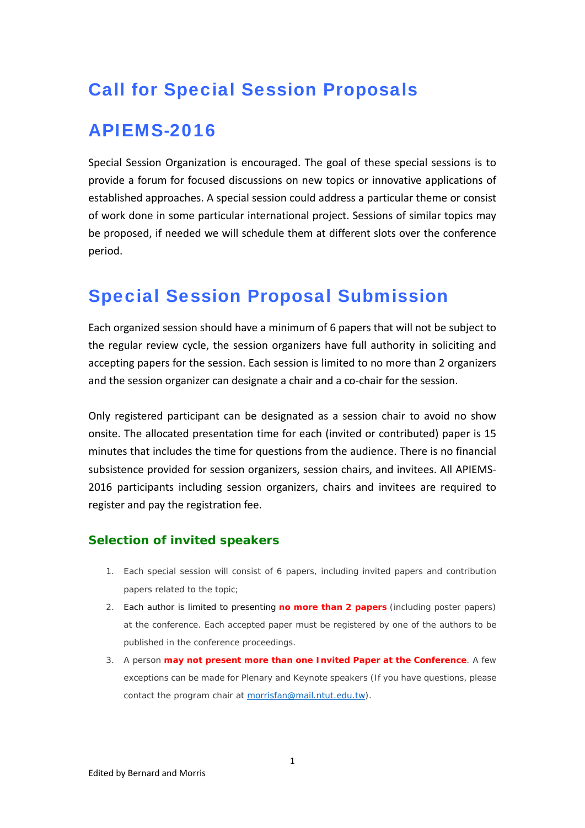# Call for Special Session Proposals

### APIEMS-2016

Special Session Organization is encouraged. The goal of these special sessions is to provide a forum for focused discussions on new topics or innovative applications of established approaches. A special session could address a particular theme or consist of work done in some particular international project. Sessions of similar topics may be proposed, if needed we will schedule them at different slots over the conference period.

## Special Session Proposal Submission

Each organized session should have a minimum of 6 papers that will not be subject to the regular review cycle, the session organizers have full authority in soliciting and accepting papers for the session. Each session is limited to no more than 2 organizers and the session organizer can designate a chair and a co-chair for the session.

Only registered participant can be designated as a session chair to avoid no show onsite. The allocated presentation time for each (invited or contributed) paper is 15 minutes that includes the time for questions from the audience. There is no financial subsistence provided for session organizers, session chairs, and invitees. All APIEMS‐ 2016 participants including session organizers, chairs and invitees are required to register and pay the registration fee.

#### **Selection of invited speakers**

- 1. Each special session will consist of 6 papers, including invited papers and contribution papers related to the topic;
- 2. Each author is limited to presenting **no more than 2 papers** (including poster papers) at the conference. Each accepted paper must be registered by one of the authors to be published in the conference proceedings.
- 3. A person **may not present more than one Invited Paper at the Conference**. A few exceptions can be made for Plenary and Keynote speakers (If you have questions, please contact the program chair at morrisfan@mail.ntut.edu.tw).